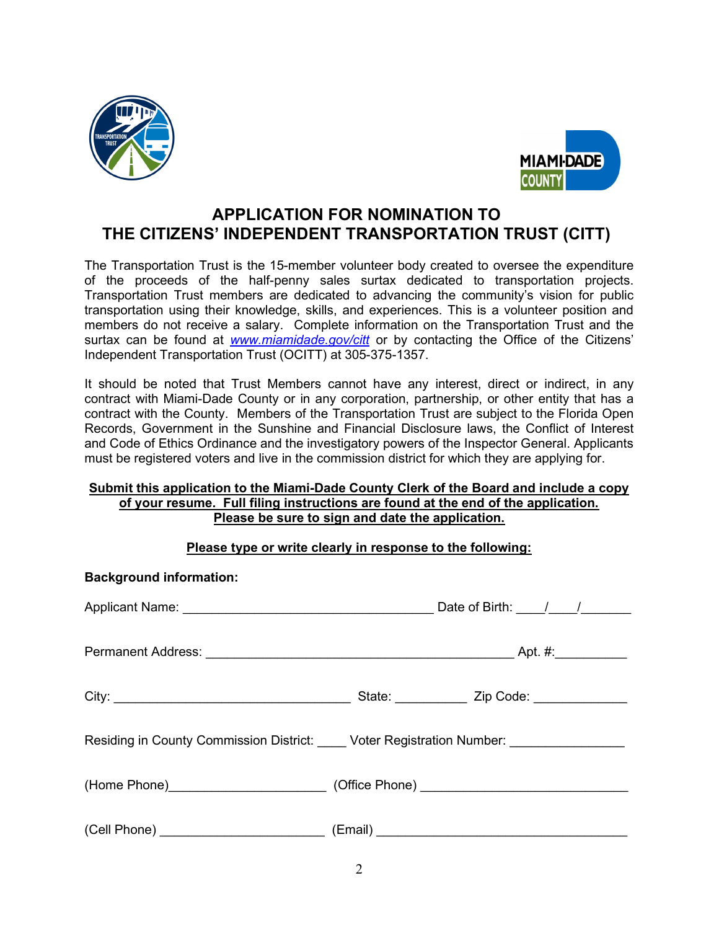



# APPLICATION FOR NOMINATION TO THE CITIZENS' INDEPENDENT TRANSPORTATION TRUST (CITT)

The Transportation Trust is the 15-member volunteer body created to oversee the expenditure of the proceeds of the half-penny sales surtax dedicated to transportation projects. Transportation Trust members are dedicated to advancing the community's vision for public transportation using their knowledge, skills, and experiences. This is a volunteer position and members do not receive a salary. Complete information on the Transportation Trust and the surtax can be found at www.miamidade.gov/citt or by contacting the Office of the Citizens' Independent Transportation Trust (OCITT) at 305-375-1357.

It should be noted that Trust Members cannot have any interest, direct or indirect, in any contract with Miami-Dade County or in any corporation, partnership, or other entity that has a contract with the County. Members of the Transportation Trust are subject to the Florida Open Records, Government in the Sunshine and Financial Disclosure laws, the Conflict of Interest and Code of Ethics Ordinance and the investigatory powers of the Inspector General. Applicants must be registered voters and live in the commission district for which they are applying for.

### Submit this application to the Miami-Dade County Clerk of the Board and include a copy of your resume. Full filing instructions are found at the end of the application. Please be sure to sign and date the application.

## Please type or write clearly in response to the following:

| <b>Background information:</b>                                                   |                                                                                         |                                   |  |
|----------------------------------------------------------------------------------|-----------------------------------------------------------------------------------------|-----------------------------------|--|
|                                                                                  |                                                                                         |                                   |  |
|                                                                                  |                                                                                         |                                   |  |
|                                                                                  |                                                                                         | State: <u>Zip Code:</u> Zip Code: |  |
|                                                                                  | Residing in County Commission District: _____ Voter Registration Number: ______________ |                                   |  |
| (Home Phone)____________________________(Office Phone) _________________________ |                                                                                         |                                   |  |
|                                                                                  |                                                                                         |                                   |  |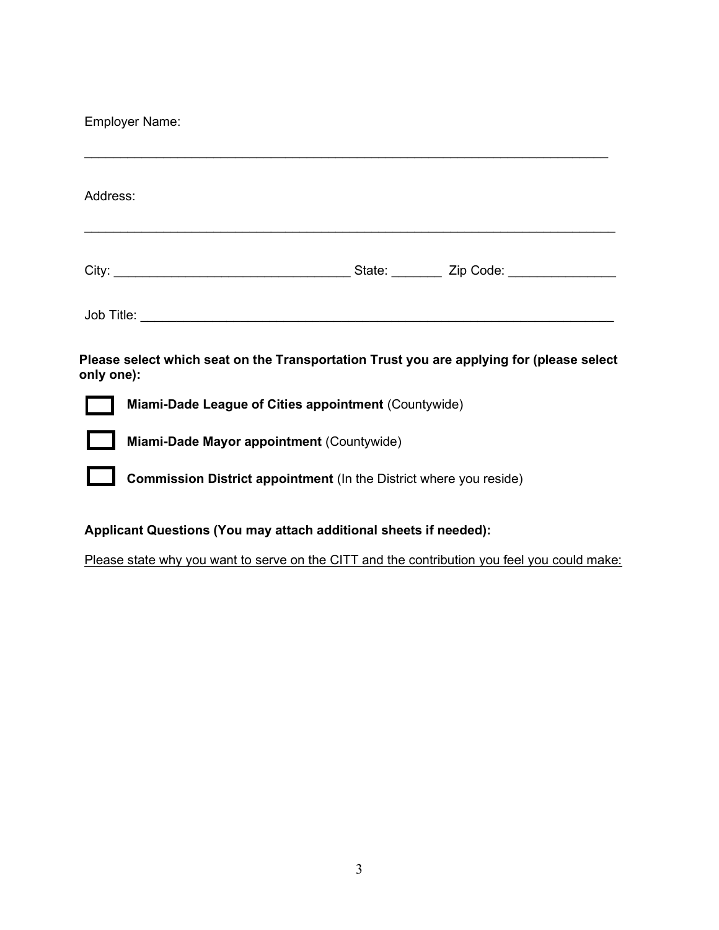Employer Name:

| Address:                                                                                               |                                                      |  |  |  |  |
|--------------------------------------------------------------------------------------------------------|------------------------------------------------------|--|--|--|--|
|                                                                                                        |                                                      |  |  |  |  |
|                                                                                                        |                                                      |  |  |  |  |
| Please select which seat on the Transportation Trust you are applying for (please select<br>only one): |                                                      |  |  |  |  |
|                                                                                                        | Miami-Dade League of Cities appointment (Countywide) |  |  |  |  |
| Miami-Dade Mayor appointment (Countywide)                                                              |                                                      |  |  |  |  |
| Commission District appointment (In the District where you reside)                                     |                                                      |  |  |  |  |
| Applicant Questions (You may attach additional sheets if needed):                                      |                                                      |  |  |  |  |

Please state why you want to serve on the CITT and the contribution you feel you could make: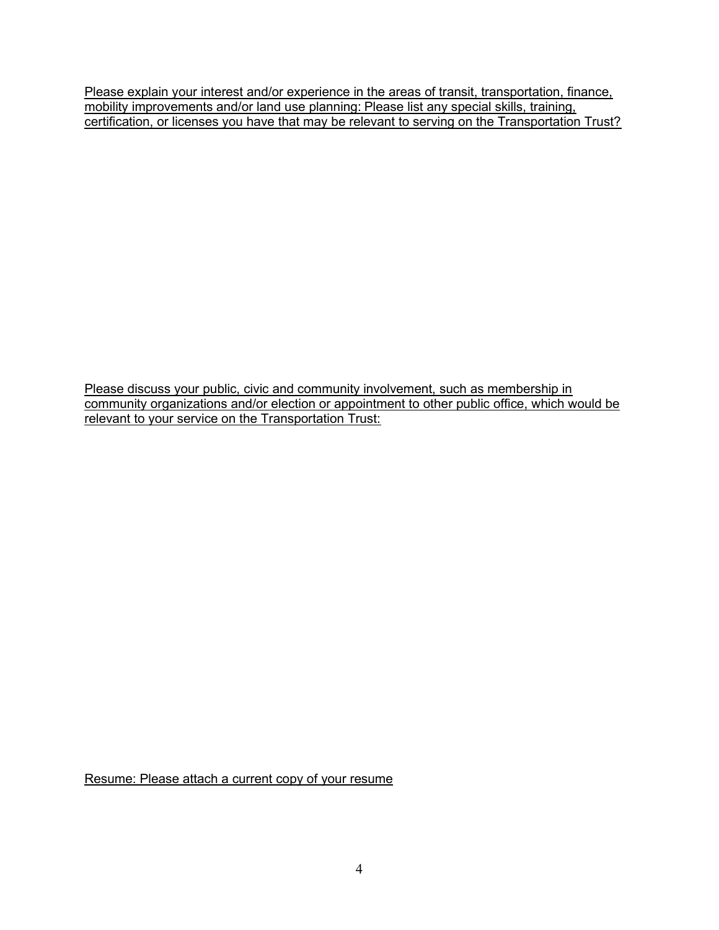Please explain your interest and/or experience in the areas of transit, transportation, finance, mobility improvements and/or land use planning: Please list any special skills, training, certification, or licenses you have that may be relevant to serving on the Transportation Trust?

Please discuss your public, civic and community involvement, such as membership in community organizations and/or election or appointment to other public office, which would be relevant to your service on the Transportation Trust:

Resume: Please attach a current copy of your resume